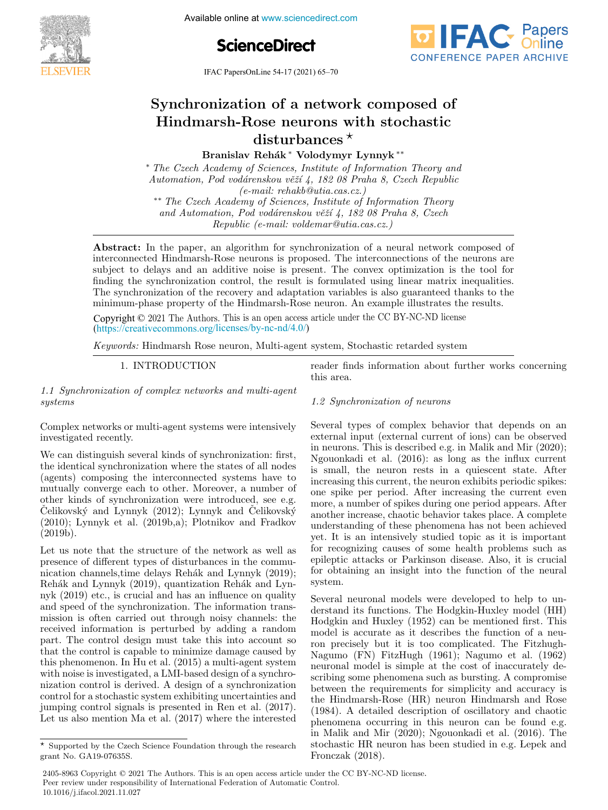

Available online at www.sciencedirect.com



IFAC PapersOnLine  $54-17$  (2021) 65-70



#### $\operatorname{Synchronization}$  of a network composed o Hindmarsh-Rose neurons with stochastic Synchronization of a network composed of Hindmarsh-Rose neurons with stochastic ose neurons w Synchronization of a network composed of<br>Hindmarsh-Rose neurons with stochastic  ${\rm disturbances\,}^\star$ on or a networ<br>ose neurons w anstan bances Synchronization of a network composed of  $\text{Hindmars} + \text{Rose neurons with stochastic}$

Synchronization of a network composed of

Branislav Rehák <sup>∗</sup> Volodymyr Lynnyk <sup>∗∗</sup> Branislav Rehák \* Volodymyr Lynnyk \*\*

Automation, Pod vodárenskou věží 4, 182 08 Praha 8, Czech Republic  $(e-mail: rehab@utia.cas.cz.)$ \*\* The Czech Academy of Sciences, Institute of Information Theory ∗ The Czech Academy of Sciences, Institute of Information Theory and ∗ The Czech Academy of Sciences, Institute of Information Theory and Branislav Reh´ak ∗ Volodymyr Lynnyk ∗∗

and Automation, Pod vodárenskou věží 4, 182 08 Praha 8, Czech and  $A$ utomation, Pod vodarenskou voze 4, 182 08 Praha 8, Ezech Republic (e-mail: voldemar@utia.cas.cz.) Republic (e-mail: voldemar@utia.cas.cz.) Republic (e-mail: voldemar@utia.cas.cz.) and Automation, Pod vodiarenskou v $\overline{a}$ renskou v $\overline{a}$ 

interconnected Hindmarsh-Rose neurons is proposed. The interconnections of the neurons are subject to delays and an additive noise is present. The convex optimization is the tool for subject to delays and an additive noise is present. The convex optimization is the tool for finding the synchronization control, the result is formulated using linear matrix inequalities. The synchronization control, the result is formulated using infear matrix inequalities.<br>The synchronization of the recovery and adaptation variables is also guaranteed thanks to the The synchronization of the Fecovery and adaptation variables is also guaranteed thanks to the<br>minimum-phase property of the Hindmarsh-Rose neuron. An example illustrates the results. Abstract: In the paper, an algorithm for synchronization of a neural network composed of minimum-phase property of the rimumarism-rose neuron. An example mustrates the results. merconnected Thhumash-Rose heurons is proposed. The interconnections of the heurons are singlect to delays and an additive hole is present. The convex optimization is the tool for inding the synchronization control, the result is formulated using linear matrix inequalities. maing the synchronization control, the result is formulated using linear matrix mequanties.<br>The synchronization of the recovery and adaptation variables is also guaranteed thanks to the  $\mathbf{A}$  absorptive  $\mathbf{A}$  and algorithm for synchronization of a neural network component  $\mathbf{A}$  is  $\mathbf{A}$  and  $\mathbf{A}$  and  $\mathbf{A}$  is a neural network component of a neural network component  $\mathbf{A}$  and  $\mathbf{A}$ 

Copyright © 2021 The Authors. This is an open access article under the CC BY-NC-ND license  $(\text{https://creativecommons.org/licenses/by-nc-nd/4.0/">\text{https://creativecommons.org/licenses/by-nc-nd/4.0/})$ Copyright  $\odot$  2021 The Authors. This is an open access article under the CC BY-NC-ND license

Keywords: Hindmarsh Rose neuron, Multi-agent system, Stochastic retarded system Keywords: Hindmarsh Rose neuron, Multi-agent system, Stochastic retarded system 1. International control of the control of the control of the control of the control of the control of the con  $\frac{v}{c}$  information about further works concerning concerning  $\frac{v}{c}$ Keywords: Hindmarsh Rose neuron, Multi-agent system, Stochastic retarded system Keywords: Hindmarsh Rose neuron, Multi-agent system, Stochastic retarded system

1. INTRODUCTION 1. INTRODUCTION 1. INTRODUCTION 1. INTRODUCTION

1.1 Synchronization of complex networks and multi-agent 1.1 Synchronization of complex networks and multi-agent systems 1.1 Synchronization of complex networks and multi-agent systems systems systems systems 1.1 Synchronization of complex networks and multi-agent 1. INTRODUCTION  $\frac{1}{10}$  systems and multi-agents and multi-agents and multi-agents and multi-agents and multi-agents and multi-agents and multi-agents and multi-agents and multi-agents and multi-agents and multi-agents and multi-agent

Complex networks or multi-agent systems were intensively<br>investigated recently. investigated recently. Complex networks of Complex networks or multi-agent systems were intensively investigated recently. systems

We can distinguish several kinds of synchronization: first, we can distinguish several kinds of synchronization. inst,<br>the identical synchronization where the states of all nodes the identical synchronization where the states of all nodes<br>(agents) composing the interconnected systems have to mutually converge each to other. Moreover, a number of (agents) composing the interconnected systems have to mutually converge each to other. Moreover, a number of mutually converge each to other. Moreover, a number of<br>other kinds of synchronization were introduced, see e.g. Schloswicky and Lynnyk (2012); Lynnyk and Čelikovský<br>Čelikovský and Lynnyk (2012); Lynnyk and Čelikovský Celikovský and Lynnyk (2012); Lynnyk and Celikovský<br>(2010); Lynnyk et al. (2019b,a); Plotnikov and Fradkov (2019b). (2019b). (2019b). (2010); Lynnyk et al. (2019b,a); Plotnikov and Fradkov (2019b). (2010); Lynnyk et al. (2019b,a); Plotnikov and Fradkov  $\left( \frac{20150}{\pi} \right)$ . other kinds of synchronization were introduced, see e.g.<br>Čelikovský and Lynnyk (2012); Lynnyk and Čelikovský  $(2010)$ ; Lynnyk et al. (2019b,a); Plotnikov and Fradkov $(2010)$ ; We can distinguish several kinds of synchronization: first, the identical synchronization where the states of all nodes (agents) composing the interconnected systems have to mutually converge each to other. Moreover, a number of  $\mu$  and interconnected systems have to our the interconnected systems have to interconnected systems have to interconnected systems  $\mu$  $(20190)$ .

Let us note that the structure of the network as well as presence of different types of disturbances in the commupresence of different types of disturbances in the commu-<br>nication channels,time delays Rehák and Lynnyk (2019); meation channels, the delays rienak and Lymyk (2019),<br>Rehák and Lynnyk (2019), quantization Rehák and Lyn $n$  myk (2019) etc., is crucial and has an influence on quality nyk (2019) etc., is crucial and has an innuence on quanty<br>and speed of the synchronization. The information transand speed of the synchronization. The information trans-<br>mission is often carried out through noisy channels: the mission is often carried out through noisy channels: the received information is perturbed by adding a random part. The control design must take this into account so received information is perturbed by adding a random that the control is capable to minimize damage caused by part. The control design must take this into account so part. The control design must take this mild account so<br>that the control is capable to minimize damage caused by this phenomenon. In Hu et al. (2015) a multi-agent system with noise is investigated, a LMI-based design of a synchrowith holse is investigated, a LWI-based design of a synchro-<br>nization control is derived. A design of a synchronization mization control is derived. A design of a synchronization<br>control for a stochastic system exhibiting uncertainties and control to a stochastic system exhibiting uncertainties and<br>jumping control signals is presented in Ren et al. (2017). Let us also mention Ma et al.  $(2017)$  where the interested Jumping control signals is presented in Ren et al.  $(2017)$ .<br>Let us also mention Ma et al.  $(2017)$  where the interested nehak and Lynnyk (2019), quantization rehak and Lynand speed of the synchronization. The information trans-<br>and speed of the synchronization. The information transwith noise is investigated, a LMI-based design of a synchro-this phenomenon. In Hu et al. (2015) a multi-agent system Jumping control signals is presented in Ren et al. (2017).<br>Let us also mention Ma et al. (2017) where the interested Let us note that the structure of the network as well as presence of different types of disturbances in the communication channels,time delays Rehak and Lynnyk (2019);<br>Delays Rehak and Lynnyk (2019); received information is perturbed by adding a random part. The control design must take this into account so that the control is capable to minimize damage caused by nization control is derived. A design of a synchronization control for a stochastic system exhibiting uncertainties and presence of unferent types of ulsturbances in the commumeation channels, time delays rehak and Lynnyk (2019),  $D_{\text{eff}}(2n+1)$  $\frac{1}{1}$  and the control is capable to minimize damage caused by this phenomenon. In fiu et al. (2015) a multi-agent system<br>with naise is investigated as IMI have determinized as well as reader finds information about further works concerning<br>this area. this area. this area. this area. reader finds information about further works concerning<br>this area  $r = 0.000$  further works concerning about further works concerning  $r = 0.000$  further works concerning  $r = 0.000$  further works concerning  $r = 0.000$  further works concerning  $r = 0.000$  further works concerning  $r = 0.000$ 

1.2 Synchronization of neurons 1.2 Synchronization of neurons 1.2 Synchronization of neurons 1.2 Synchronization of neurons this area.

Several types of complex behavior that depends on an Several types of complex behavior that depends on an Several types of complex behavior that depends on an<br>external input (external current of ions) can be observed external input (external current of lons) can be observed<br>in neurons. This is described e.g. in Malik and Mir (2020); Ngouonkadi et al. (2016): as long as the influx current in neurons. This is described e.g. in Malik and Mir (2020); Ngouonkadi et al. (2016): as long as the influx current Ngouonkadi et al. (2016): as long as the influx current<br>is small, the neuron rests in a quiescent state. After is small, the heuron rests in a questent state. After<br>increasing this current, the neuron exhibits periodic spikes: one spike per period. After increasing the current even<br>spike per period. After increasing the current even one spike per period. Their increasing the current even<br>more, a number of spikes during one period appears. After more, a number of spines during one period appears. Their<br>another increase, chaotic behavior takes place. A complete understanding of these phenomena has not been achieved<br>understanding of these phenomena has not been achieved understanding of these phenomena has not been achieved<br>yet. It is an intensively studied topic as it is important for recognizing causes of some health problems such as of recognizing causes of some nearch problems such as<br>epileptic attacks or Parkinson disease. Also, it is crucial for obtaining an insight into the function of the neural system. system. system. for obtaining an insight into the function of the neural system. for obtaining an insight into the function of the neural  $S<sub>y</sub>$ sec $n$ . mereasing this current, the neuron exhibits periodic spikes. for obtaining an insight into the function of the neural Several types of complex behavior that depends on an external input (external current of ions) can be observed external input (external current of ions) can be observed<br>in neurons. This is described e.g. in Malik and Mir (2020);<br>N Ngouonkadi et al. (2016): as long as the influx current is small, the neuron rests in a quiescent state. After Increasing this current, the neuron exhibits periodic spikes:<br>Increasing this current, the neuron exhibits periodic spikes: yet. It is an intensively studied topic as it is important for recognizing causes of some health problems such as epileptic attacks or Parkinson disease. Also, it is crucial  $\alpha$  and  $\alpha$  synchronization of neurons of neurons  $\alpha$ yet. It is an intensively studied topic as it is important<br>for accounting consecret across health and been achieve yet. It is a interesting causes of some nearth problems such as ephephic attacks of Farkhison disease. Also, it is crucial for obtaining an insignt into the function of the heural  $f(x)$  obtaining an instance the function of the  $f(x)$ 

Several neuronal models were developed to help to understand its functions. The Hodgkin-Huxley model (HH) Several neuronal models were developed to help to un-derstand its functions. The Hodgkin-Huxley model (HH) derstand its functions. The Hodgkin-Huxley model (HH)<br>Hodgkin and Huxley (1952) can be mentioned first. This roughin and Huxley (1952) can be membried first. This model is accurate as it describes the function of a neumoder is accurate as it describes the function of a neu-<br>ron precisely but it is too complicated. The Fitzhugh-Nagumo (FN) FitzHugh (1961); Nagumo et al. (1962) neuronal model is simple at the cost of inaccurately deneuronal model is simple at the cost of inaccurately describing some phenomena such as bursting. A compromise scribing some phenomena such as bursting. A compromise<br>between the requirements for simplicity and accuracy is the Hindmarsh-Rose (HR) neuron Hindmarsh and Rose between the requirements for simplicity and accuracy is the Hindmarsh-Rose (HR) neuron Hindmarsh and Rose the Hindmarsh-Rose (HR) neuron Hindmarsh and Rose (1984). A detailed description of oscillatory and chaotic (1984). A detailed description of oscillatory and chaotic<br>phenomena occurring in this neuron can be found e.g. phenomena occurring in this neuron can be found e.g.<br>in Malik and Mir (2020); Ngouonkadi et al. (2016). The m Malik and Mir (2020), Ngouonkadi et al. (2016). The stochastic HR neuron has been studied in e.g. Lepek and Fronczak  $(2018)$ . stochastic HR neuron has been studied in e.g. Lepek and<br>Fronczak (2018) ron precisely but it is too complicated. The Fitzhugh-<br>Nagumo (EN) Fitallyck (1961): Nagumo et al. (1962) in Malik and Mir (2020); Ngouonkadi et al. (2016). The<br>phenomena occurring in this neuron can be found experienced Several neuronal models were developed to help to understand its functions. The Hodgkin-Huxley model (HH) Hodgkin and Huxley (1952) can be mentioned first. This  $\frac{1}{2}$  model is accurate as it describes the function of a neuscribing some phenomena such as bursting. A compromise between the requirements for simplicity and accuracy is the Hindmarsh-Rose (HR) neuron Hindmarsh and Rose (1984). A detailed description of oscillatory and chaotic (1984). A detailed description of oscillatory and chaotic<br>phenomena occurring in this neuron can be found e.g. derstand its functions. The Hodgkin-Huxley model (HH)  $\frac{1}{1}$  functions. This functions is functional model (H)  $\frac{1}{1}$  functions functions functions functions functions functions functions functions functions functions functions functions functions functions functions f scribing some phenomena such as bursting. A compromise between the requirements for simplicity and accuracy is between the requirements for simplicity and accuracy is  $\frac{1}{2}$  and  $\frac{1}{2}$  and  $\frac{1}{2}$  and  $\frac{1}{2}$  and  $\frac{1}{2}$  and  $\frac{1}{2}$  and  $\frac{1}{2}$  and  $\frac{1}{2}$  and  $\frac{1}{2}$  and  $\frac{1}{2}$  and  $\frac{1}{2}$  and  $\frac{1}{2}$  a

2405-8963 Copyright © 2021 The Authors. This is an open access article under the CC BY-NC-ND license. Peer review under responsibility of International Federation of Automatic Control. 10.1016/j.ifacol.2021.11.027

 $\overline{\star}$  Supported by the Czech Science Foundation through the research grant No. GA19-07635S. grant No. GA19-07635S. Supported by the Czech Science Foundation through the research supported by the Cze  $\star$  Supported by the Czech Science Foundation through the research grant No.  $GAY-0/635S$ . Let us also mention Ma et al. (2017) where the interested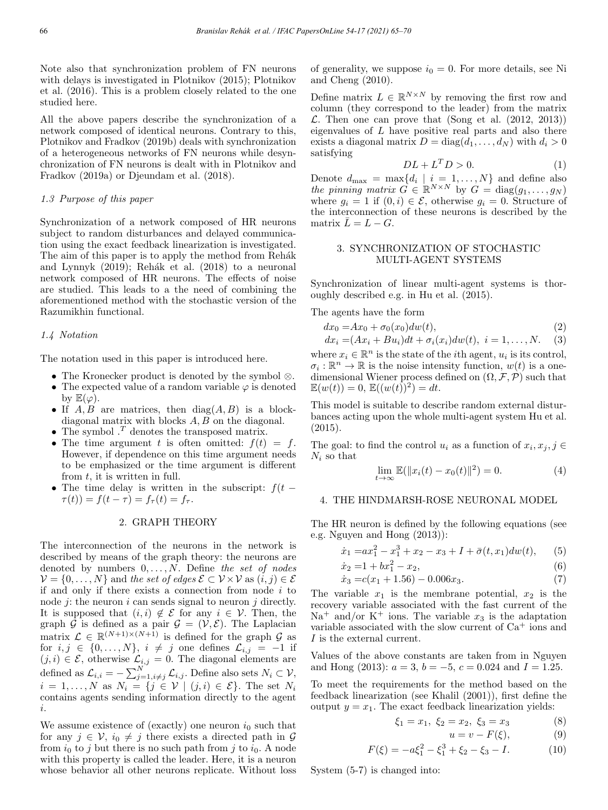Note also that synchronization problem of FN neurons with delays is investigated in Plotnikov (2015); Plotnikov et al. (2016). This is a problem closely related to the one studied here.

All the above papers describe the synchronization of a network composed of identical neurons. Contrary to this, Plotnikov and Fradkov (2019b) deals with synchronization of a heterogeneous networks of FN neurons while desynchronization of FN neurons is dealt with in Plotnikov and Fradkov (2019a) or Djeundam et al. (2018).

## 1.3 Purpose of this paper

Synchronization of a network composed of HR neurons subject to random disturbances and delayed communication using the exact feedback linearization is investigated. The aim of this paper is to apply the method from Rehák and Lynnyk  $(2019)$ ; Rehák et al.  $(2018)$  to a neuronal network composed of HR neurons. The effects of noise are studied. This leads to a the need of combining the aforementioned method with the stochastic version of the Razumikhin functional.

## 1.4 Notation

The notation used in this paper is introduced here.

- The Kronecker product is denoted by the symbol ⊗.
- The expected value of a random variable  $\varphi$  is denoted by  $\mathbb{E}(\varphi)$ .
- If  $A, B$  are matrices, then  $diag(A, B)$  is a blockdiagonal matrix with blocks A, B on the diagonal.
- The symbol  $\cdot^T$  denotes the transposed matrix.
- The time argument t is often omitted:  $f(t) = f$ . However, if dependence on this time argument needs to be emphasized or the time argument is different from  $t$ , it is written in full.
- The time delay is written in the subscript:  $f(t \tau(t) = f(t - \tau) = f_{\tau}(t) = f_{\tau}.$

# 2. GRAPH THEORY

The interconnection of the neurons in the network is described by means of the graph theory: the neurons are denoted by numbers  $0, \ldots, N$ . Define the set of nodes  $\mathcal{V} = \{0, \ldots, N\}$  and the set of edges  $\mathcal{E} \subset \mathcal{V} \times \mathcal{V}$  as  $(i, j) \in \mathcal{E}$ if and only if there exists a connection from node  $i$  to node  $j$ : the neuron  $i$  can sends signal to neuron  $j$  directly. It is supposed that  $(i, i) \notin \mathcal{E}$  for any  $i \in \mathcal{V}$ . Then, the graph G is defined as a pair  $\mathcal{G} = (\mathcal{V}, \mathcal{E})$ . The Laplacian matrix  $\mathcal{L} \in \mathbb{R}^{(N+1)\times(N+1)}$  is defined for the graph  $\mathcal{G}$  as for  $i, j \in \{0, \ldots, N\}$ ,  $i \neq j$  one defines  $\mathcal{L}_{i,j} = -1$  if  $(j, i) \in \mathcal{E}$ , otherwise  $\mathcal{L}_{i,j} = 0$ . The diagonal elements are defined as  $\mathcal{L}_{i,i} = -\sum_{j=1, i\neq j}^{N} \mathcal{L}_{i,j}$ . Define also sets  $N_i \subset \mathcal{V}$ ,  $i = 1, \ldots, N$  as  $N_i = \{j \in V \mid (j, i) \in \mathcal{E}\}$ . The set  $N_i$ contains agents sending information directly to the agent i.

We assume existence of (exactly) one neuron  $i_0$  such that for any  $j \in V$ ,  $i_0 \neq j$  there exists a directed path in  $\mathcal{G}$ from  $i_0$  to j but there is no such path from j to  $i_0$ . A node with this property is called the leader. Here, it is a neuron whose behavior all other neurons replicate. Without loss of generality, we suppose  $i_0 = 0$ . For more details, see Ni and Cheng (2010).

Define matrix  $L \in \mathbb{R}^{N \times N}$  by removing the first row and column (they correspond to the leader) from the matrix  $\mathcal{L}$ . Then one can prove that (Song et al. (2012, 2013)) eigenvalues of  $L$  have positive real parts and also there exists a diagonal matrix  $D = diag(d_1, ..., d_N)$  with  $d_i > 0$ satisfying

$$
DL + L^T D > 0.
$$
 (1)

Denote  $d_{\text{max}} = \max\{d_i \mid i = 1, ..., N\}$  and define also the pinning matrix  $G \in \mathbb{R}^{N \times N}$  by  $G = \text{diag}(g_1, \ldots, g_N)$ where  $g_i = 1$  if  $(0, i) \in \mathcal{E}$ , otherwise  $g_i = 0$ . Structure of the interconnection of these neurons is described by the matrix  $\overline{L} = L - G$ .

# 3. SYNCHRONIZATION OF STOCHASTIC MULTI-AGENT SYSTEMS

Synchronization of linear multi-agent systems is thoroughly described e.g. in Hu et al. (2015).

The agents have the form

$$
dx_0 = Ax_0 + \sigma_0(x_0)dw(t),
$$
\n(2)

$$
dx_i = (Ax_i + Bu_i)dt + \sigma_i(x_i)dw(t), \quad i = 1, \dots, N. \tag{3}
$$

where  $x_i \in \mathbb{R}^n$  is the state of the *i*th agent,  $u_i$  is its control,  $\sigma_i : \mathbb{R}^n \to \mathbb{R}$  is the noise intensity function,  $w(t)$  is a onedimensional Wiener process defined on  $(\Omega, \mathcal{F}, \mathcal{P})$  such that  $\mathbb{E}(w(t)) = 0, \, \mathbb{E}((w(t))^2) = dt.$ 

This model is suitable to describe random external disturbances acting upon the whole multi-agent system Hu et al. (2015).

The goal: to find the control  $u_i$  as a function of  $x_i, x_j, j \in$  $N_i$  so that

$$
\lim_{t \to \infty} \mathbb{E}(\|x_i(t) - x_0(t)\|^2) = 0.
$$
 (4)

## 4. THE HINDMARSH-ROSE NEURONAL MODEL

The HR neuron is defined by the following equations (see e.g. Nguyen and Hong (2013)):

$$
\dot{x}_1 = ax_1^2 - x_1^3 + x_2 - x_3 + I + \bar{\sigma}(t, x_1)dw(t), \qquad (5)
$$

$$
\dot{x}_2 = 1 + bx_1^2 - x_2,\tag{6}
$$

$$
\dot{x}_3 = c(x_1 + 1.56) - 0.006x_3. \tag{7}
$$

The variable  $x_1$  is the membrane potential,  $x_2$  is the recovery variable associated with the fast current of the  $\mathrm{Na}^+$  and/or K<sup>+</sup> ions. The variable  $x_3$  is the adaptation variable associated with the slow current of  $Ca<sup>+</sup>$  ions and  $\cal I$  is the external current.

Values of the above constants are taken from in Nguyen and Hong (2013):  $a = 3$ ,  $b = -5$ ,  $c = 0.024$  and  $I = 1.25$ .

To meet the requirements for the method based on the feedback linearization (see Khalil (2001)), first define the output  $y = x_1$ . The exact feedback linearization yields:

$$
\xi_1 = x_1, \ \xi_2 = x_2, \ \xi_3 = x_3 \tag{8}
$$

$$
u = v - F(\xi), \tag{9}
$$

$$
F(\xi) = -a\xi_1^2 - \xi_1^3 + \xi_2 - \xi_3 - I.
$$
 (10)

System (5-7) is changed into: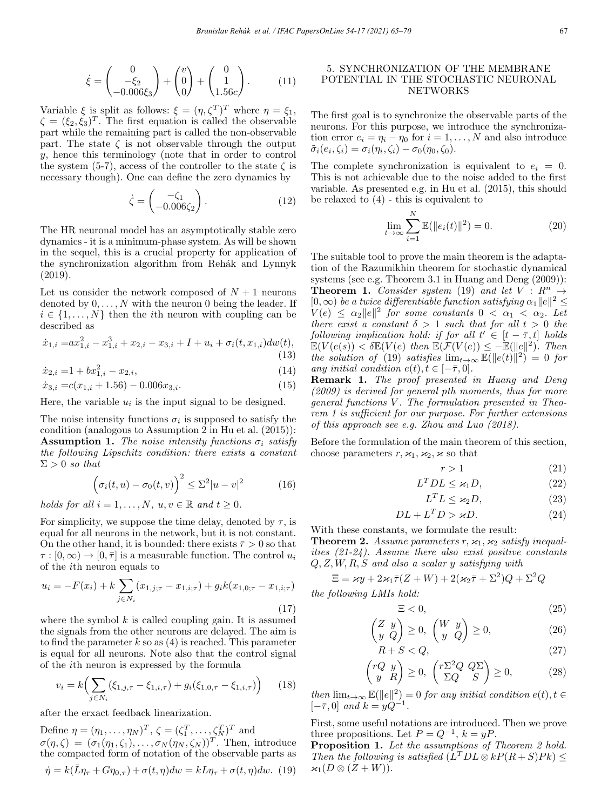$$
\dot{\xi} = \begin{pmatrix} 0 \\ -\xi_2 \\ -0.006\xi_3 \end{pmatrix} + \begin{pmatrix} v \\ 0 \\ 0 \end{pmatrix} + \begin{pmatrix} 0 \\ 1 \\ 1.56c \end{pmatrix}.
$$
 (11)

Variable  $\xi$  is split as follows:  $\xi = (\eta, \zeta^T)^T$  where  $\eta = \xi_1$ ,  $\zeta = (\xi_2, \xi_3)^T$ . The first equation is called the observable part while the remaining part is called the non-observable part. The state  $\zeta$  is not observable through the output y, hence this terminology (note that in order to control the system (5-7), access of the controller to the state  $\zeta$  is necessary though). One can define the zero dynamics by

$$
\dot{\zeta} = \begin{pmatrix} -\zeta_1 \\ -0.006\zeta_2 \end{pmatrix} . \tag{12}
$$

The HR neuronal model has an asymptotically stable zero dynamics - it is a minimum-phase system. As will be shown in the sequel, this is a crucial property for application of the synchronization algorithm from Rehák and Lynnyk (2019).

Let us consider the network composed of  $N+1$  neurons denoted by  $0, \ldots, N$  with the neuron 0 being the leader. If  $i \in \{1, \ldots, N\}$  then the *i*th neuron with coupling can be described as

$$
\dot{x}_{1,i} = ax_{1,i}^2 - x_{1,i}^3 + x_{2,i} - x_{3,i} + I + u_i + \sigma_i(t, x_{1,i})dw(t),
$$
\n(13)

$$
\dot{x}_{2,i} = 1 + bx_{1,i}^2 - x_{2,i},\tag{14}
$$

$$
\dot{x}_{3,i} = c(x_{1,i} + 1.56) - 0.006x_{3,i}.\tag{15}
$$

Here, the variable  $u_i$  is the input signal to be designed.

The noise intensity functions  $\sigma_i$  is supposed to satisfy the condition (analogous to Assumption 2 in Hu et al. (2015)): **Assumption 1.** The noise intensity functions  $\sigma_i$  satisfy the following Lipschitz condition: there exists a constant  $\Sigma > 0$  so that

$$
\left(\sigma_i(t, u) - \sigma_0(t, v)\right)^2 \le \Sigma^2 |u - v|^2 \tag{16}
$$

holds for all  $i = 1, ..., N$ ,  $u, v \in \mathbb{R}$  and  $t \geq 0$ .

For simplicity, we suppose the time delay, denoted by  $\tau$ , is equal for all neurons in the network, but it is not constant. On the other hand, it is bounded: there exists  $\bar{\tau} > 0$  so that  $\tau : [0, \infty) \to [0, \overline{\tau}]$  is a measurable function. The control  $u_i$ of the ith neuron equals to

$$
u_i = -F(x_i) + k \sum_{j \in N_i} (x_{1,j;\tau} - x_{1,i;\tau}) + g_i k (x_{1,0;\tau} - x_{1,i;\tau})
$$
\n(17)

where the symbol  $k$  is called coupling gain. It is assumed the signals from the other neurons are delayed. The aim is to find the parameter  $k$  so as  $(4)$  is reached. This parameter is equal for all neurons. Note also that the control signal of the ith neuron is expressed by the formula

$$
v_i = k \Big( \sum_{j \in N_i} (\xi_{1,j,\tau} - \xi_{1,i,\tau}) + g_i(\xi_{1,0,\tau} - \xi_{1,i,\tau}) \Big) \tag{18}
$$

after the erxact feedback linearization.

Define  $\eta = (\eta_1, \dots, \eta_N)^T$ ,  $\zeta = (\zeta_1^T, \dots, \zeta_N^T)^T$  and  $\sigma(\eta, \zeta)=(\sigma_1(\eta_1, \zeta_1),\ldots,\sigma_N(\eta_N, \zeta_N))^T$ . Then, introduce the compacted form of notation of the observable parts as  $\dot{\eta} = k(\bar{L}\eta_{\tau} + G\eta_{0,\tau}) + \sigma(t,\eta)dw = kL\eta_{\tau} + \sigma(t,\eta)dw.$  (19)

# 5. SYNCHRONIZATION OF THE MEMBRANE POTENTIAL IN THE STOCHASTIC NEURONAL NETWORKS

The first goal is to synchronize the observable parts of the neurons. For this purpose, we introduce the synchronization error  $e_i = \eta_i - \eta_0$  for  $i = 1, ..., N$  and also introduce  $\tilde{\sigma}_i(e_i, \zeta_i) = \sigma_i(\eta_i, \zeta_i) - \sigma_0(\eta_0, \zeta_0).$ 

The complete synchronization is equivalent to  $e_i = 0$ . This is not achievable due to the noise added to the first variable. As presented e.g. in Hu et al. (2015), this should be relaxed to (4) - this is equivalent to

$$
\lim_{t \to \infty} \sum_{i=1}^{N} \mathbb{E}(\|e_i(t)\|^2) = 0.
$$
 (20)

The suitable tool to prove the main theorem is the adaptation of the Razumikhin theorem for stochastic dynamical systems (see e.g. Theorem 3.1 in Huang and Deng (2009)): **Theorem 1.** Consider system (19) and let  $V : \mathbb{R}^n \to$  $[0, \infty)$  be a twice differentiable function satisfying  $\alpha_1 ||e||^2 \leq$  $V(e) \leq \alpha_2 ||e||^2$  for some constants  $0 < \alpha_1 < \alpha_2$ . Let there exist a constant  $\delta > 1$  such that for all  $t > 0$  the following implication hold: if for all  $t' \in [t - \overline{\tau}, t]$  holds  $\mathbb{E}(V(e(s)) < \delta \mathbb{E}(V(e) \text{ then } \mathbb{E}(\mathcal{F}(V(e)) \leq -\mathbb{E}(\|e\|^2))$ . Then the solution of (19) satisfies  $\lim_{t\to\infty} \mathbb{E}(\|e(t)\|^2)=0$  for any initial condition  $e(t), t \in [-\bar{\tau}, 0].$ 

Remark 1. The proof presented in Huang and Deng (2009) is derived for general pth moments, thus for more general functions V. The formulation presented in Theorem 1 is sufficient for our purpose. For further extensions of this approach see e.g. Zhou and Luo (2018).

Before the formulation of the main theorem of this section, choose parameters  $r, \varkappa_1, \varkappa_2, \varkappa$  so that

$$
r > 1\tag{21}
$$

$$
L^T D L \le \varkappa_1 D,\tag{22}
$$

$$
L^T L \le \varkappa_2 D,\tag{23}
$$

$$
DL + L^T D > \varkappa D. \tag{24}
$$

With these constants, we formulate the result:

**Theorem 2.** Assume parameters  $r, \varkappa_1, \varkappa_2$  satisfy inequalities (21-24). Assume there also exist positive constants  $Q, Z, W, R, S$  and also a scalar y satisfying with

$$
\Xi = \varkappa y + 2\varkappa_1 \bar{\tau} (Z + W) + 2(\varkappa_2 \bar{\tau} + \Sigma^2) Q + \Sigma^2 Q
$$

the following LMIs hold:

$$
\Xi < 0,\tag{25}
$$

$$
\begin{pmatrix} Z & y \\ y & Q \end{pmatrix} \ge 0, \quad \begin{pmatrix} W & y \\ y & Q \end{pmatrix} \ge 0,\tag{26}
$$

$$
R + S < Q,\tag{27}
$$

$$
\begin{pmatrix} rQ & y \\ y & R \end{pmatrix} \ge 0, \quad \begin{pmatrix} r\Sigma^2 Q & Q\Sigma \\ \Sigma Q & S \end{pmatrix} \ge 0,\tag{28}
$$

then  $\lim_{t\to\infty} \mathbb{E}(\|e\|^2)=0$  for any initial condition  $e(t), t \in$  $[-\bar{\tau}, 0]$  and  $k = yQ^{-1}$ .

First, some useful notations are introduced. Then we prove three propositions. Let  $P = Q^{-1}$ ,  $k = yP$ .

Proposition 1. Let the assumptions of Theorem 2 hold. Then the following is satisfied  $(L^T D L \otimes k P (R + S) P k) \leq$  $\varkappa_1(D\otimes (Z+W)).$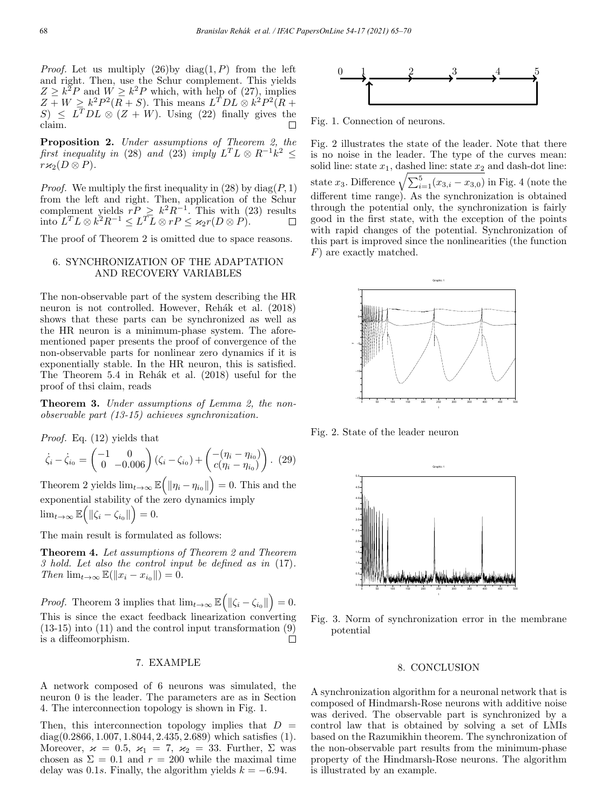*Proof.* Let us multiply  $(26)$  by diag $(1, P)$  from the left and right. Then, use the Schur complement. This yields  $Z \geq k^2 P$  and  $W \geq k^2 P$  which, with help of (27), implies  $Z + W \geq k^2 P^2 (R + S)$ . This means  $L^T D L \otimes k^2 P^2 (R + S)$  $S \leq L^T D L \otimes (Z + W)$ . Using (22) finally gives the claim.

Proposition 2. Under assumptions of Theorem 2, the first inequality in (28) and (23) imply  $L^T L \otimes R^{-1} k^2 \leq$  $r\varkappa_2(D\otimes P)$ .

*Proof.* We multiply the first inequality in (28) by  $diag(P, 1)$ from the left and right. Then, application of the Schur complement yields  $rP \ge k^2R^{-1}$ . This with (23) results into  $L^T L \otimes k^2 R^{-1} \leq L^T L \otimes rP \leq \varkappa_2 r(D \otimes P).$ 

The proof of Theorem 2 is omitted due to space reasons.

# 6. SYNCHRONIZATION OF THE ADAPTATION AND RECOVERY VARIABLES

The non-observable part of the system describing the HR neuron is not controlled. However, Rehák et al. (2018) shows that these parts can be synchronized as well as the HR neuron is a minimum-phase system. The aforementioned paper presents the proof of convergence of the non-observable parts for nonlinear zero dynamics if it is exponentially stable. In the HR neuron, this is satisfied. The Theorem  $5.4$  in Rehák et al.  $(2018)$  useful for the proof of thsi claim, reads

**Theorem 3.** Under assumptions of Lemma 2, the nonobservable part (13-15) achieves synchronization.

Proof. Eq. (12) yields that

$$
\dot{\zeta}_i - \dot{\zeta}_{i_0} = \begin{pmatrix} -1 & 0 \\ 0 & -0.006 \end{pmatrix} (\zeta_i - \zeta_{i_0}) + \begin{pmatrix} -(\eta_i - \eta_{i_0}) \\ c(\eta_i - \eta_{i_0}) \end{pmatrix} . (29)
$$

Theorem 2 yields  $\lim_{t\to\infty} \mathbb{E}\left(\|\eta_i-\eta_{i_0}\|\right) = 0$ . This and the exponential stability of the zero dynamics imply  $\lim_{t\to\infty} \mathbb{E}\left(\|\zeta_i-\zeta_{i_0}\|\right)=0.$ 

The main result is formulated as follows:

Theorem 4. Let assumptions of Theorem 2 and Theorem 3 hold. Let also the control input be defined as in (17). Then  $\lim_{t\to\infty} \mathbb{E}(\Vert x_i - x_{i_0} \Vert) = 0.$ 

*Proof.* Theorem 3 implies that  $\lim_{t\to\infty} \mathbb{E}(|\zeta_i - \zeta_{i_0}||) = 0$ . This is since the exact feedback linearization converting (13-15) into (11) and the control input transformation (9) is a diffeomorphism.  $\Box$ 

# 7. EXAMPLE

A network composed of 6 neurons was simulated, the neuron 0 is the leader. The parameters are as in Section 4. The interconnection topology is shown in Fig. 1.

Then, this interconnection topology implies that  $D =$  $diag(0.2866, 1.007, 1.8044, 2.435, 2.689)$  which satisfies  $(1)$ . Moreover,  $\varkappa = 0.5$ ,  $\varkappa_1 = 7$ ,  $\varkappa_2 = 33$ . Further,  $\Sigma$  was chosen as  $\Sigma = 0.1$  and  $r = 200$  while the maximal time delay was 0.1s. Finally, the algorithm yields  $k = -6.94$ .



Fig. 1. Connection of neurons.

Fig. 2 illustrates the state of the leader. Note that there is no noise in the leader. The type of the curves mean: solid line: state  $x_1$ , dashed line: state  $x_2$  and dash-dot line: state  $x_3$ . Difference  $\sqrt{\sum_{i=1}^5 (x_{3,i} - x_{3,0})}$  in Fig. 4 (note the different time range). As the synchronization is obtained through the potential only, the synchronization is fairly good in the first state, with the exception of the points with rapid changes of the potential. Synchronization of this part is improved since the nonlinearities (the function F) are exactly matched.



Fig. 2. State of the leader neuron



Fig. 3. Norm of synchronization error in the membrane potential

## 8. CONCLUSION

A synchronization algorithm for a neuronal network that is composed of Hindmarsh-Rose neurons with additive noise was derived. The observable part is synchronized by a control law that is obtained by solving a set of LMIs based on the Razumikhin theorem. The synchronization of the non-observable part results from the minimum-phase property of the Hindmarsh-Rose neurons. The algorithm is illustrated by an example.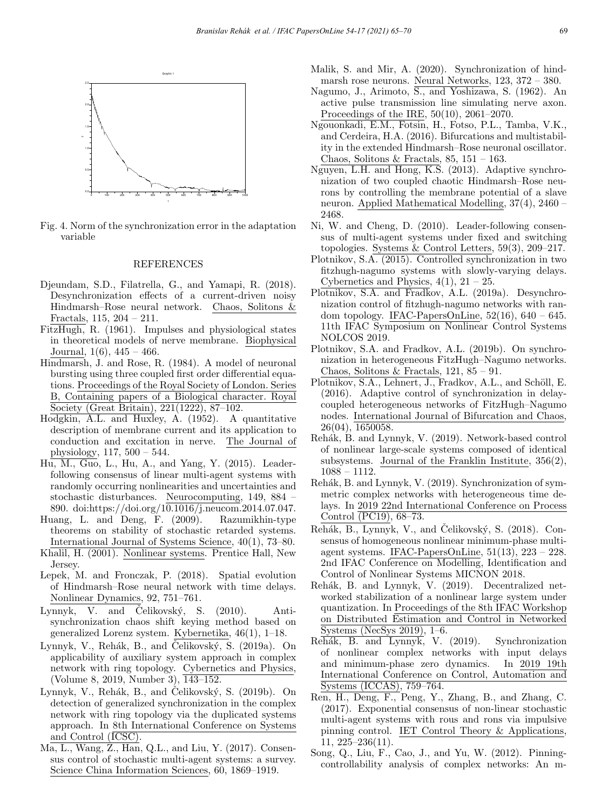

Fig. 4. Norm of the synchronization error in the adaptation variable

## REFERENCES

- Djeundam, S.D., Filatrella, G., and Yamapi, R. (2018). Desynchronization effects of a current-driven noisy Hindmarsh–Rose neural network. Chaos, Solitons & Fractals, 115, 204 – 211.
- FitzHugh, R. (1961). Impulses and physiological states in theoretical models of nerve membrane. Biophysical Journal,  $1(6)$ ,  $445 - 466$ .
- Hindmarsh, J. and Rose, R. (1984). A model of neuronal bursting using three coupled first order differential equations. Proceedings of the Royal Society of London. Series B, Containing papers of a Biological character. Royal Society (Great Britain), 221(1222), 87–102.
- Hodgkin, A.L. and Huxley, A. (1952). A quantitative description of membrane current and its application to conduction and excitation in nerve. The Journal of physiology, 117, 500 – 544.
- $\overline{\text{Hu}, \text{M.}, \text{Guo}, \text{L.}, \text{Hu}, \text{A.}, \text{and Yang}, \text{Y.}$  (2015). Leaderfollowing consensus of linear multi-agent systems with randomly occurring nonlinearities and uncertainties and stochastic disturbances. Neurocomputing, 149, 884 – 890. doi:https://doi.org/10.1016/j.neucom.2014.07.047.
- Huang, L. and Deng, F. (2009). Razumikhin-type theorems on stability of stochastic retarded systems. International Journal of Systems Science, 40(1), 73–80.
- Khalil, H. (2001). Nonlinear systems. Prentice Hall, New Jersey.
- ¡Lepek, M. and Fronczak, P. (2018). Spatial evolution of Hindmarsh–Rose neural network with time delays. Nonlinear Dynamics, 92, 751–761.
- Lynnyk, V. and Celikovský, S.  $(2010)$ . Antisynchronization chaos shift keying method based on generalized Lorenz system. Kybernetika, 46(1), 1–18.
- Lynnyk, V., Rehák, B., and Čelikovský, S. (2019a). On applicability of auxiliary system approach in complex network with ring topology. Cybernetics and Physics, (Volume 8, 2019, Number 3), 143–152.
- Lynnyk, V., Rehák, B., and Čelikovský, S.  $(2019b)$ . On detection of generalized synchronization in the complex network with ring topology via the duplicated systems approach. In 8th International Conference on Systems and Control (ICSC).
- Ma, L., Wang, Z., Han, Q.L., and Liu, Y. (2017). Consensus control of stochastic multi-agent systems: a survey. Science China Information Sciences, 60, 1869–1919.
- Malik, S. and Mir, A. (2020). Synchronization of hindmarsh rose neurons. Neural Networks, 123, 372 – 380.
- Nagumo, J., Arimoto, S., and Yoshizawa, S. (1962). An active pulse transmission line simulating nerve axon. Proceedings of the IRE, 50(10), 2061–2070.
- Ngouonkadi, E.M., Fotsin, H., Fotso, P.L., Tamba, V.K., and Cerdeira, H.A. (2016). Bifurcations and multistability in the extended Hindmarsh–Rose neuronal oscillator. Chaos, Solitons & Fractals,  $85, 151 - 163$ .
- Nguyen, L.H. and Hong, K.S. (2013). Adaptive synchronization of two coupled chaotic Hindmarsh–Rose neurons by controlling the membrane potential of a slave neuron. Applied Mathematical Modelling, 37(4), 2460 – 2468.
- Ni, W. and Cheng, D. (2010). Leader-following consensus of multi-agent systems under fixed and switching topologies. Systems & Control Letters, 59(3), 209–217.
- Plotnikov, S.A. (2015). Controlled synchronization in two fitzhugh-nagumo systems with slowly-varying delays. Cybernetics and Physics,  $4(1)$ ,  $21 - 25$ .
- Plotnikov, S.A. and Fradkov, A.L. (2019a). Desynchronization control of fitzhugh-nagumo networks with random topology. IFAC-PapersOnLine,  $52(16)$ ,  $640 - 645$ . 11th IFAC Symposium on Nonlinear Control Systems NOLCOS 2019.
- Plotnikov, S.A. and Fradkov, A.L. (2019b). On synchronization in heterogeneous FitzHugh–Nagumo networks. Chaos, Solitons & Fractals,  $121, 85 - 91$ .
- Plotnikov, S.A., Lehnert, J., Fradkov, A.L., and Schöll, E. (2016). Adaptive control of synchronization in delaycoupled heterogeneous networks of FitzHugh–Nagumo nodes. International Journal of Bifurcation and Chaos, 26(04), 1650058.
- Rehák, B. and Lynnyk, V. (2019). Network-based control of nonlinear large-scale systems composed of identical subsystems. Journal of the Franklin Institute, 356(2), 1088 – 1112.
- Rehák, B. and Lynnyk, V. (2019). Synchronization of symmetric complex networks with heterogeneous time delays. In 2019 22nd International Conference on Process Control (PC19), 68–73.
- Rehák, B., Lynnyk, V., and Čelikovský, S.  $(2018)$ . Consensus of homogeneous nonlinear minimum-phase multiagent systems. IFAC-PapersOnLine, 51(13), 223 – 228. 2nd IFAC Conference on Modelling, Identification and Control of Nonlinear Systems MICNON 2018.
- Rehák, B. and Lynnyk, V. (2019). Decentralized networked stabilization of a nonlinear large system under quantization. In Proceedings of the 8th IFAC Workshop on Distributed Estimation and Control in Networked Systems (NecSys 2019), 1–6.
- Rehák, B. and Lynnyk, V. (2019). Synchronization of nonlinear complex networks with input delays and minimum-phase zero dynamics. In 2019 19th International Conference on Control, Automation and Systems (ICCAS), 759–764.
- Ren, H., Deng, F., Peng, Y., Zhang, B., and Zhang, C. (2017). Exponential consensus of non-linear stochastic multi-agent systems with rous and rons via impulsive pinning control. IET Control Theory & Applications, 11, 225–236(11).
- Song, Q., Liu, F., Cao, J., and Yu, W. (2012). Pinningcontrollability analysis of complex networks: An m-